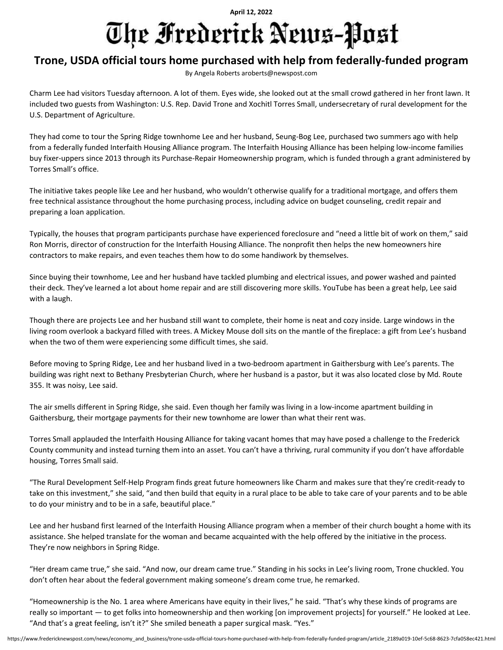## **April 12, 2022** The Frederick News-Post

## **Trone, USDA official tours home purchased with help from federally-funded program**

By Angela Roberts aroberts@newspost.com

Charm Lee had visitors Tuesday afternoon. A lot of them. Eyes wide, she looked out at the small crowd gathered in her front lawn. It included two guests from Washington: U.S. Rep. David Trone and Xochitl Torres Small, undersecretary of rural development for the U.S. Department of Agriculture.

They had come to tour the Spring Ridge townhome Lee and her husband, Seung-Bog Lee, purchased two summers ago with help from a federally funded Interfaith Housing Alliance program. The Interfaith Housing Alliance has been helping low-income families buy fixer-uppers since 2013 through its Purchase-Repair Homeownership program, which is funded through a grant administered by Torres Small's office.

The initiative takes people like Lee and her husband, who wouldn't otherwise qualify for a traditional mortgage, and offers them free technical assistance throughout the home purchasing process, including advice on budget counseling, credit repair and preparing a loan application.

Typically, the houses that program participants purchase have experienced foreclosure and "need a little bit of work on them," said Ron Morris, director of construction for the Interfaith Housing Alliance. The nonprofit then helps the new homeowners hire contractors to make repairs, and even teaches them how to do some handiwork by themselves.

Since buying their townhome, Lee and her husband have tackled plumbing and electrical issues, and power washed and painted their deck. They've learned a lot about home repair and are still discovering more skills. YouTube has been a great help, Lee said with a laugh.

Though there are projects Lee and her husband still want to complete, their home is neat and cozy inside. Large windows in the living room overlook a backyard filled with trees. A Mickey Mouse doll sits on the mantle of the fireplace: a gift from Lee's husband when the two of them were experiencing some difficult times, she said.

Before moving to Spring Ridge, Lee and her husband lived in a two-bedroom apartment in Gaithersburg with Lee's parents. The building was right next to Bethany Presbyterian Church, where her husband is a pastor, but it was also located close by Md. Route 355. It was noisy, Lee said.

The air smells different in Spring Ridge, she said. Even though her family was living in a low-income apartment building in Gaithersburg, their mortgage payments for their new townhome are lower than what their rent was.

Torres Small applauded the Interfaith Housing Alliance for taking vacant homes that may have posed a challenge to the Frederick County community and instead turning them into an asset. You can't have a thriving, rural community if you don't have affordable housing, Torres Small said.

"The Rural Development Self-Help Program finds great future homeowners like Charm and makes sure that they're credit-ready to take on this investment," she said, "and then build that equity in a rural place to be able to take care of your parents and to be able to do your ministry and to be in a safe, beautiful place."

Lee and her husband first learned of the Interfaith Housing Alliance program when a member of their church bought a home with its assistance. She helped translate for the woman and became acquainted with the help offered by the initiative in the process. They're now neighbors in Spring Ridge.

"Her dream came true," she said. "And now, our dream came true." Standing in his socks in Lee's living room, Trone chuckled. You don't often hear about the federal government making someone's dream come true, he remarked.

"Homeownership is the No. 1 area where Americans have equity in their lives," he said. "That's why these kinds of programs are really so important — to get folks into homeownership and then working [on improvement projects] for yourself." He looked at Lee. "And that's a great feeling, isn't it?" She smiled beneath a paper surgical mask. "Yes."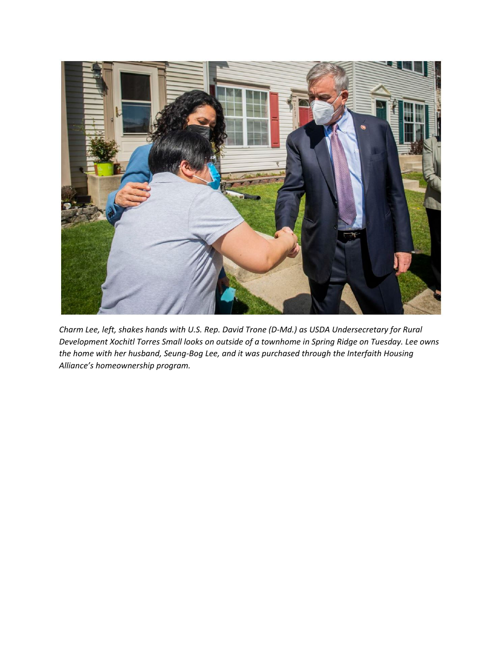

*Charm Lee, left, shakes hands with U.S. Rep. David Trone (D‐Md.) as USDA Undersecretary for Rural Development Xochitl Torres Small looks on outside of a townhome in Spring Ridge on Tuesday. Lee owns the home with her husband, Seung‐Bog Lee, and it was purchased through the Interfaith Housing Alliance's homeownership program.*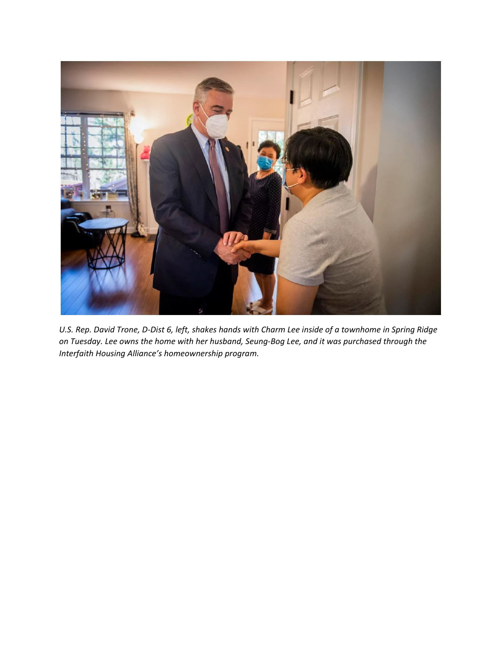

U.S. Rep. David Trone, D-Dist 6, left, shakes hands with Charm Lee inside of a townhome in Spring Ridge on Tuesday. Lee owns the home with her husband, Seung-Bog Lee, and it was purchased through the *Interfaith Housing Alliance's homeownership program.*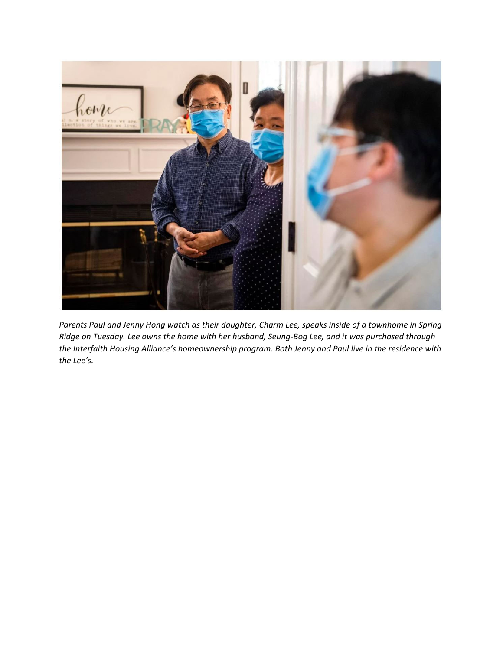

Parents Paul and Jenny Hong watch as their daughter, Charm Lee, speaks inside of a townhome in Spring Ridge on Tuesday. Lee owns the home with her husband, Seung-Bog Lee, and it was purchased through *the Interfaith Housing Alliance's homeownership program. Both Jenny and Paul live in the residence with the Lee's.*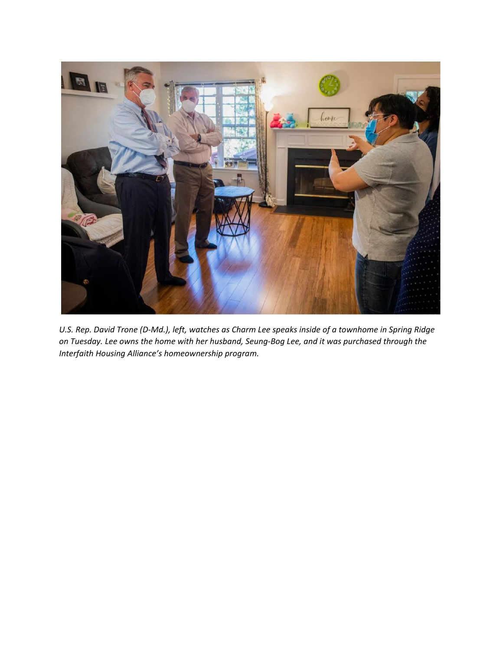

U.S. Rep. David Trone (D-Md.), left, watches as Charm Lee speaks inside of a townhome in Spring Ridge on Tuesday. Lee owns the home with her husband, Seung-Bog Lee, and it was purchased through the *Interfaith Housing Alliance's homeownership program.*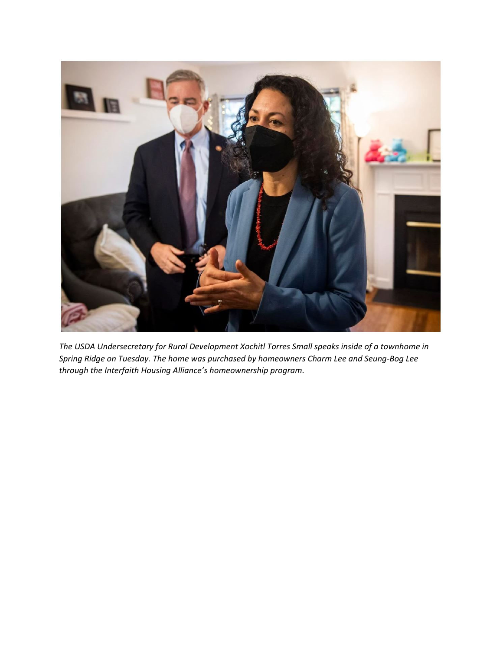

*The USDA Undersecretary for Rural Development Xochitl Torres Small speaks inside of a townhome in Spring Ridge on Tuesday. The home was purchased by homeowners Charm Lee and Seung‐Bog Lee through the Interfaith Housing Alliance's homeownership program.*